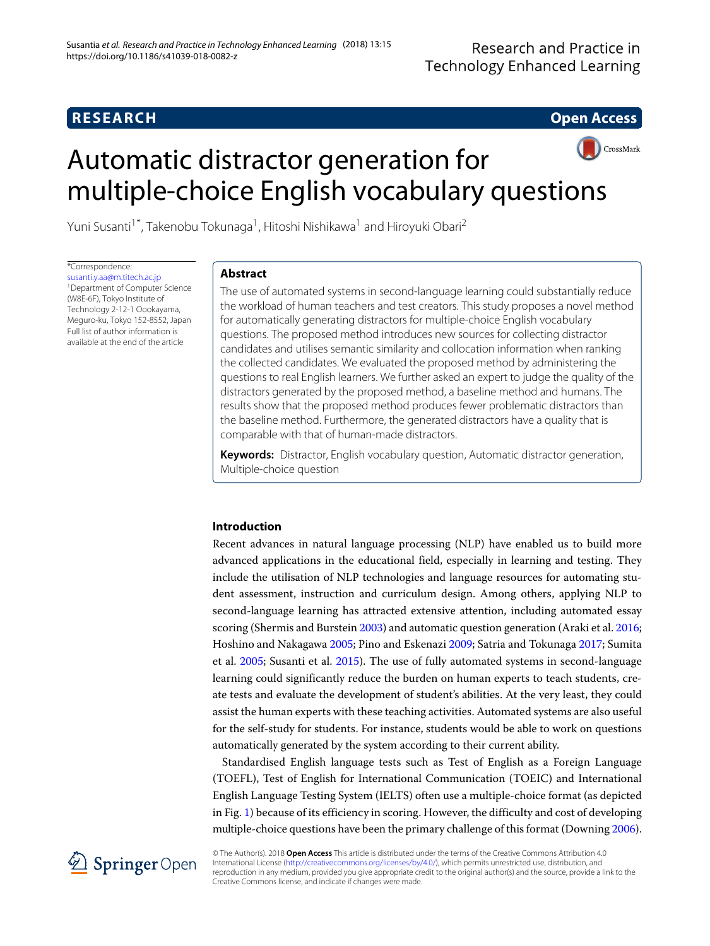# **RESEARCH Open Access**

# CrossMark Automatic distractor generation for multiple-choice English vocabulary questions

Yuni Susanti<sup>1\*</sup>, Takenobu Tokunaga<sup>1</sup>, Hitoshi Nishikawa<sup>1</sup> and Hiroyuki Obari<sup>2</sup>

\*Correspondence:

[susanti.y.aa@m.titech.ac.jp](mailto: susanti.y.aa@m.titech.ac.jp) 1Department of Computer Science (W8E-6F), Tokyo Institute of Technology 2-12-1 Oookayama, Meguro-ku, Tokyo 152-8552, Japan Full list of author information is available at the end of the article

# **Abstract**

The use of automated systems in second-language learning could substantially reduce the workload of human teachers and test creators. This study proposes a novel method for automatically generating distractors for multiple-choice English vocabulary questions. The proposed method introduces new sources for collecting distractor candidates and utilises semantic similarity and collocation information when ranking the collected candidates. We evaluated the proposed method by administering the questions to real English learners. We further asked an expert to judge the quality of the distractors generated by the proposed method, a baseline method and humans. The results show that the proposed method produces fewer problematic distractors than the baseline method. Furthermore, the generated distractors have a quality that is comparable with that of human-made distractors.

**Keywords:** Distractor, English vocabulary question, Automatic distractor generation, Multiple-choice question

# **Introduction**

Recent advances in natural language processing (NLP) have enabled us to build more advanced applications in the educational field, especially in learning and testing. They include the utilisation of NLP technologies and language resources for automating student assessment, instruction and curriculum design. Among others, applying NLP to second-language learning has attracted extensive attention, including automated essay scoring (Shermis and Burstein [2003\)](#page-15-0) and automatic question generation (Araki et al. [2016;](#page-15-1) Hoshino and Nakagawa [2005;](#page-15-2) Pino and Eskenazi [2009;](#page-15-3) Satria and Tokunaga [2017;](#page-15-4) Sumita et al. [2005;](#page-15-5) Susanti et al. [2015\)](#page-15-6). The use of fully automated systems in second-language learning could significantly reduce the burden on human experts to teach students, create tests and evaluate the development of student's abilities. At the very least, they could assist the human experts with these teaching activities. Automated systems are also useful for the self-study for students. For instance, students would be able to work on questions automatically generated by the system according to their current ability.

Standardised English language tests such as Test of English as a Foreign Language (TOEFL), Test of English for International Communication (TOEIC) and International English Language Testing System (IELTS) often use a multiple-choice format (as depicted in Fig. [1\)](#page-1-0) because of its efficiency in scoring. However, the difficulty and cost of developing multiple-choice questions have been the primary challenge of this format (Downing [2006\)](#page-15-7).



© The Author(s). 2018 **Open Access** This article is distributed under the terms of the Creative Commons Attribution 4.0 International License [\(http://creativecommons.org/licenses/by/4.0/\)](http://creativecommons.org/licenses/by/4.0/), which permits unrestricted use, distribution, and reproduction in any medium, provided you give appropriate credit to the original author(s) and the source, provide a link to the Creative Commons license, and indicate if changes were made.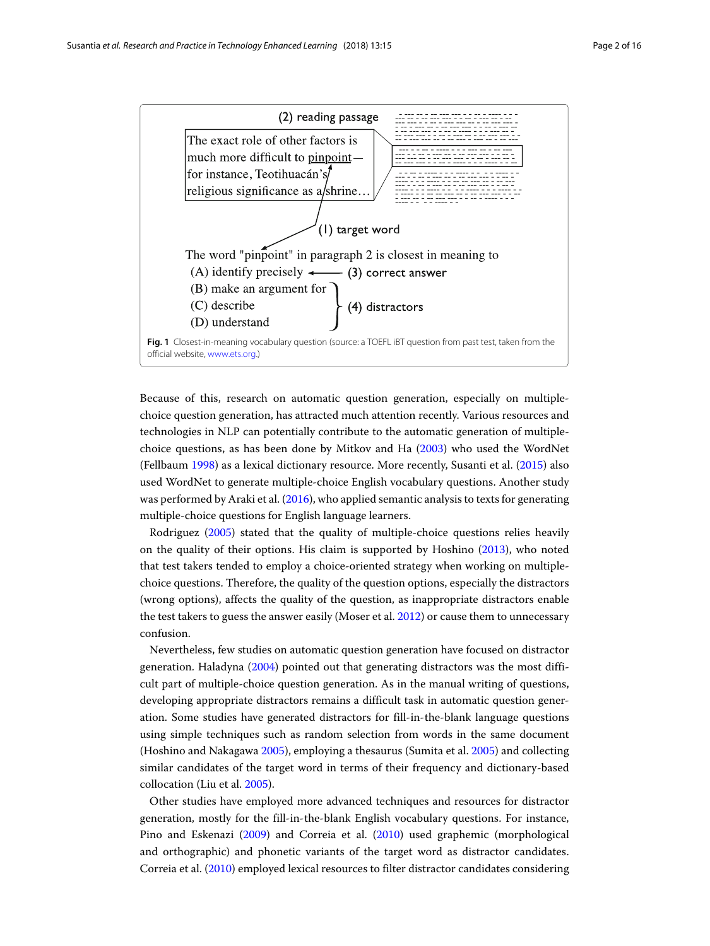

<span id="page-1-0"></span>Because of this, research on automatic question generation, especially on multiplechoice question generation, has attracted much attention recently. Various resources and technologies in NLP can potentially contribute to the automatic generation of multiplechoice questions, as has been done by Mitkov and Ha [\(2003\)](#page-15-8) who used the WordNet (Fellbaum [1998\)](#page-15-9) as a lexical dictionary resource. More recently, Susanti et al. [\(2015\)](#page-15-6) also used WordNet to generate multiple-choice English vocabulary questions. Another study was performed by Araki et al. [\(2016\)](#page-15-1), who applied semantic analysis to texts for generating multiple-choice questions for English language learners.

Rodriguez [\(2005\)](#page-15-10) stated that the quality of multiple-choice questions relies heavily on the quality of their options. His claim is supported by Hoshino [\(2013\)](#page-15-11), who noted that test takers tended to employ a choice-oriented strategy when working on multiplechoice questions. Therefore, the quality of the question options, especially the distractors (wrong options), affects the quality of the question, as inappropriate distractors enable the test takers to guess the answer easily (Moser et al. [2012\)](#page-15-12) or cause them to unnecessary confusion.

Nevertheless, few studies on automatic question generation have focused on distractor generation. Haladyna [\(2004\)](#page-15-13) pointed out that generating distractors was the most difficult part of multiple-choice question generation. As in the manual writing of questions, developing appropriate distractors remains a difficult task in automatic question generation. Some studies have generated distractors for fill-in-the-blank language questions using simple techniques such as random selection from words in the same document (Hoshino and Nakagawa [2005\)](#page-15-2), employing a thesaurus (Sumita et al. [2005\)](#page-15-5) and collecting similar candidates of the target word in terms of their frequency and dictionary-based collocation (Liu et al. [2005\)](#page-15-14).

Other studies have employed more advanced techniques and resources for distractor generation, mostly for the fill-in-the-blank English vocabulary questions. For instance, Pino and Eskenazi [\(2009\)](#page-15-3) and Correia et al. [\(2010\)](#page-15-15) used graphemic (morphological and orthographic) and phonetic variants of the target word as distractor candidates. Correia et al. [\(2010\)](#page-15-15) employed lexical resources to filter distractor candidates considering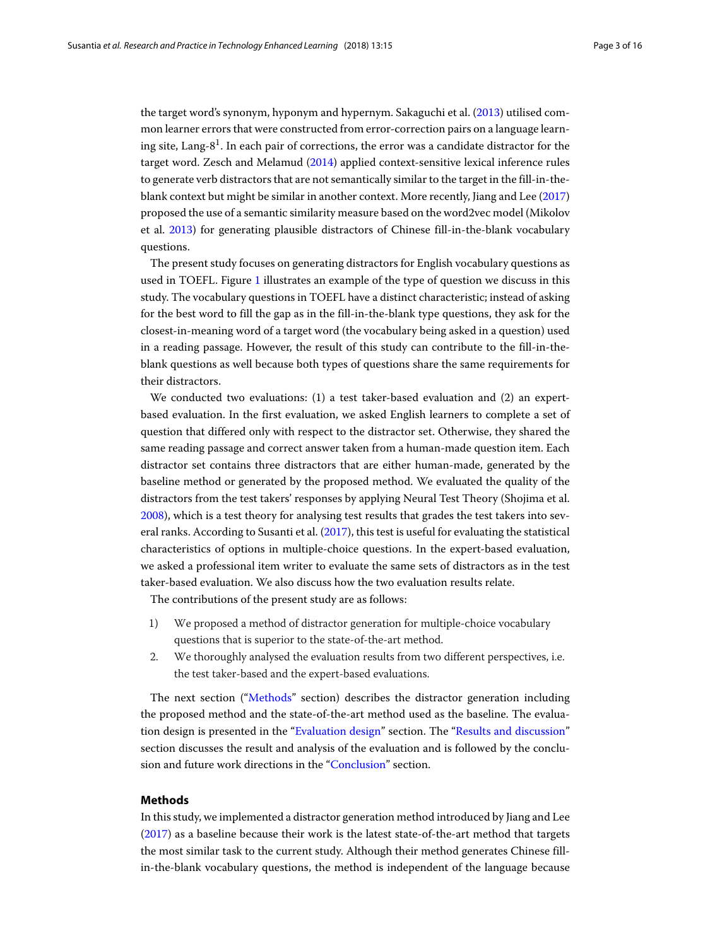the target word's synonym, hyponym and hypernym. Sakaguchi et al. [\(2013\)](#page-15-16) utilised common learner errors that were constructed from error-correction pairs on a language learning site, Lang- $8<sup>1</sup>$ . In each pair of corrections, the error was a candidate distractor for the target word. Zesch and Melamud [\(2014\)](#page-15-17) applied context-sensitive lexical inference rules to generate verb distractors that are not semantically similar to the target in the fill-in-theblank context but might be similar in another context. More recently, Jiang and Lee [\(2017\)](#page-15-18) proposed the use of a semantic similarity measure based on the word2vec model (Mikolov et al. [2013\)](#page-15-19) for generating plausible distractors of Chinese fill-in-the-blank vocabulary questions.

The present study focuses on generating distractors for English vocabulary questions as used in TOEFL. Figure [1](#page-1-0) illustrates an example of the type of question we discuss in this study. The vocabulary questions in TOEFL have a distinct characteristic; instead of asking for the best word to fill the gap as in the fill-in-the-blank type questions, they ask for the closest-in-meaning word of a target word (the vocabulary being asked in a question) used in a reading passage. However, the result of this study can contribute to the fill-in-theblank questions as well because both types of questions share the same requirements for their distractors.

We conducted two evaluations: (1) a test taker-based evaluation and (2) an expertbased evaluation. In the first evaluation, we asked English learners to complete a set of question that differed only with respect to the distractor set. Otherwise, they shared the same reading passage and correct answer taken from a human-made question item. Each distractor set contains three distractors that are either human-made, generated by the baseline method or generated by the proposed method. We evaluated the quality of the distractors from the test takers' responses by applying Neural Test Theory (Shojima et al. [2008\)](#page-15-20), which is a test theory for analysing test results that grades the test takers into several ranks. According to Susanti et al. [\(2017\)](#page-15-21), this test is useful for evaluating the statistical characteristics of options in multiple-choice questions. In the expert-based evaluation, we asked a professional item writer to evaluate the same sets of distractors as in the test taker-based evaluation. We also discuss how the two evaluation results relate.

The contributions of the present study are as follows:

- 1) We proposed a method of distractor generation for multiple-choice vocabulary questions that is superior to the state-of-the-art method.
- 2. We thoroughly analysed the evaluation results from two different perspectives, i.e. the test taker-based and the expert-based evaluations.

The next section (["Methods"](#page-2-0) section) describes the distractor generation including the proposed method and the state-of-the-art method used as the baseline. The evaluation design is presented in the ["Evaluation design"](#page-5-0) section. The ["Results and discussion"](#page-7-0) section discusses the result and analysis of the evaluation and is followed by the conclusion and future work directions in the ["Conclusion"](#page-13-0) section.

### <span id="page-2-0"></span>**Methods**

In this study, we implemented a distractor generation method introduced by Jiang and Lee [\(2017\)](#page-15-18) as a baseline because their work is the latest state-of-the-art method that targets the most similar task to the current study. Although their method generates Chinese fillin-the-blank vocabulary questions, the method is independent of the language because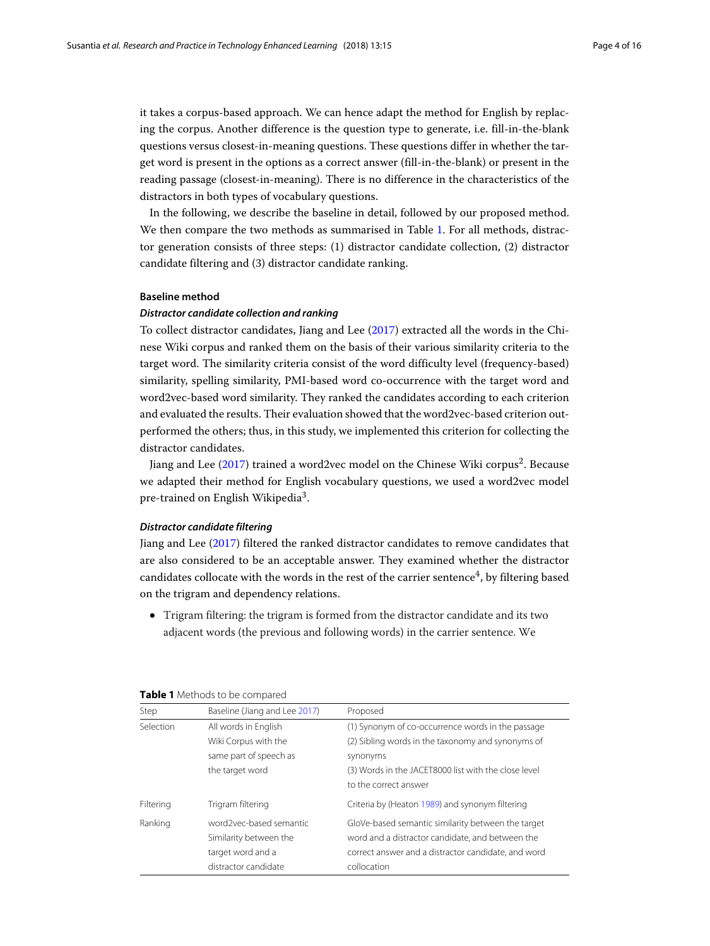it takes a corpus-based approach. We can hence adapt the method for English by replacing the corpus. Another difference is the question type to generate, i.e. fill-in-the-blank questions versus closest-in-meaning questions. These questions differ in whether the target word is present in the options as a correct answer (fill-in-the-blank) or present in the reading passage (closest-in-meaning). There is no difference in the characteristics of the distractors in both types of vocabulary questions.

In the following, we describe the baseline in detail, followed by our proposed method. We then compare the two methods as summarised in Table [1.](#page-3-0) For all methods, distractor generation consists of three steps: (1) distractor candidate collection, (2) distractor candidate filtering and (3) distractor candidate ranking.

#### **Baseline method**

#### *Distractor candidate collection and ranking*

To collect distractor candidates, Jiang and Lee [\(2017\)](#page-15-18) extracted all the words in the Chinese Wiki corpus and ranked them on the basis of their various similarity criteria to the target word. The similarity criteria consist of the word difficulty level (frequency-based) similarity, spelling similarity, PMI-based word co-occurrence with the target word and word2vec-based word similarity. They ranked the candidates according to each criterion and evaluated the results. Their evaluation showed that the word2vec-based criterion outperformed the others; thus, in this study, we implemented this criterion for collecting the distractor candidates.

Jiang and Lee [\(2017\)](#page-15-18) trained a word2vec model on the Chinese Wiki corpus<sup>2</sup>. Because we adapted their method for English vocabulary questions, we used a word2vec model pre-trained on English Wikipedia<sup>3</sup>.

# <span id="page-3-1"></span>*Distractor candidate filtering*

Jiang and Lee [\(2017\)](#page-15-18) filtered the ranked distractor candidates to remove candidates that are also considered to be an acceptable answer. They examined whether the distractor candidates collocate with the words in the rest of the carrier sentence<sup>4</sup>, by filtering based on the trigram and dependency relations.

• Trigram filtering: the trigram is formed from the distractor candidate and its two adjacent words (the previous and following words) in the carrier sentence. We

| Step      | Baseline (Jiang and Lee 2017) | Proposed                                             |
|-----------|-------------------------------|------------------------------------------------------|
| Selection | All words in English          | (1) Synonym of co-occurrence words in the passage    |
|           | Wiki Corpus with the          | (2) Sibling words in the taxonomy and synonyms of    |
|           | same part of speech as        | synonyms                                             |
|           | the target word               | (3) Words in the JACET8000 list with the close level |
|           |                               | to the correct answer                                |
| Filtering | Trigram filtering             | Criteria by (Heaton 1989) and synonym filtering      |
| Ranking   | word2vec-based semantic       | GloVe-based semantic similarity between the target   |
|           | Similarity between the        | word and a distractor candidate, and between the     |
|           | target word and a             | correct answer and a distractor candidate, and word  |
|           | distractor candidate          | collocation                                          |

<span id="page-3-0"></span>

| Table 1 Methods to be compared |  |
|--------------------------------|--|
|--------------------------------|--|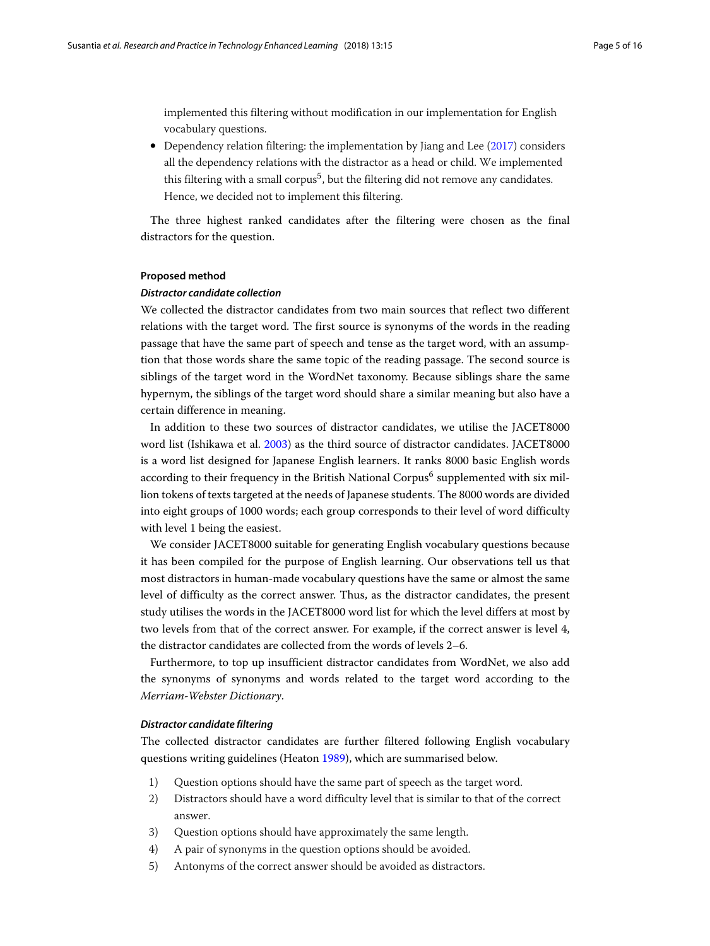implemented this filtering without modification in our implementation for English vocabulary questions.

• Dependency relation filtering: the implementation by Jiang and Lee [\(2017\)](#page-15-18) considers all the dependency relations with the distractor as a head or child. We implemented this filtering with a small corpus<sup>5</sup>, but the filtering did not remove any candidates. Hence, we decided not to implement this filtering.

The three highest ranked candidates after the filtering were chosen as the final distractors for the question.

# **Proposed method**

# *Distractor candidate collection*

We collected the distractor candidates from two main sources that reflect two different relations with the target word. The first source is synonyms of the words in the reading passage that have the same part of speech and tense as the target word, with an assumption that those words share the same topic of the reading passage. The second source is siblings of the target word in the WordNet taxonomy. Because siblings share the same hypernym, the siblings of the target word should share a similar meaning but also have a certain difference in meaning.

In addition to these two sources of distractor candidates, we utilise the JACET8000 word list (Ishikawa et al. [2003\)](#page-15-23) as the third source of distractor candidates. JACET8000 is a word list designed for Japanese English learners. It ranks 8000 basic English words according to their frequency in the British National Corpus<sup>6</sup> supplemented with six million tokens of texts targeted at the needs of Japanese students. The 8000 words are divided into eight groups of 1000 words; each group corresponds to their level of word difficulty with level 1 being the easiest.

We consider JACET8000 suitable for generating English vocabulary questions because it has been compiled for the purpose of English learning. Our observations tell us that most distractors in human-made vocabulary questions have the same or almost the same level of difficulty as the correct answer. Thus, as the distractor candidates, the present study utilises the words in the JACET8000 word list for which the level differs at most by two levels from that of the correct answer. For example, if the correct answer is level 4, the distractor candidates are collected from the words of levels 2–6.

Furthermore, to top up insufficient distractor candidates from WordNet, we also add the synonyms of synonyms and words related to the target word according to the *Merriam-Webster Dictionary*.

#### <span id="page-4-0"></span>*Distractor candidate filtering*

The collected distractor candidates are further filtered following English vocabulary questions writing guidelines (Heaton [1989\)](#page-15-22), which are summarised below.

- 1) Question options should have the same part of speech as the target word.
- 2) Distractors should have a word difficulty level that is similar to that of the correct answer.
- 3) Question options should have approximately the same length.
- 4) A pair of synonyms in the question options should be avoided.
- 5) Antonyms of the correct answer should be avoided as distractors.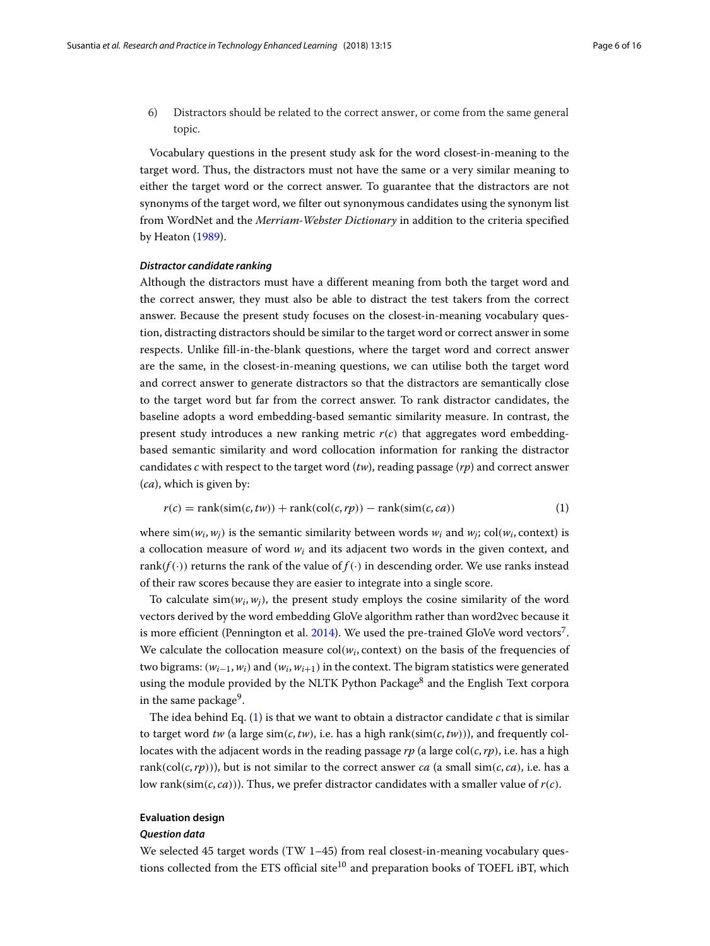6) Distractors should be related to the correct answer, or come from the same general topic.

Vocabulary questions in the present study ask for the word closest-in-meaning to the target word. Thus, the distractors must not have the same or a very similar meaning to either the target word or the correct answer. To guarantee that the distractors are not synonyms of the target word, we filter out synonymous candidates using the synonym list from WordNet and the *Merriam-Webster Dictionary* in addition to the criteria specified by Heaton [\(1989\)](#page-15-22).

#### *Distractor candidate ranking*

Although the distractors must have a different meaning from both the target word and the correct answer, they must also be able to distract the test takers from the correct answer. Because the present study focuses on the closest-in-meaning vocabulary question, distracting distractors should be similar to the target word or correct answer in some respects. Unlike fill-in-the-blank questions, where the target word and correct answer are the same, in the closest-in-meaning questions, we can utilise both the target word and correct answer to generate distractors so that the distractors are semantically close to the target word but far from the correct answer. To rank distractor candidates, the baseline adopts a word embedding-based semantic similarity measure. In contrast, the present study introduces a new ranking metric  $r(c)$  that aggregates word embeddingbased semantic similarity and word collocation information for ranking the distractor candidates *c* with respect to the target word (*tw*), reading passage (*rp*) and correct answer (*ca*), which is given by:

<span id="page-5-1"></span>
$$
r(c) = \text{rank}(\text{sim}(c, tw)) + \text{rank}(\text{col}(c, rp)) - \text{rank}(\text{sim}(c, ca))
$$
\n(1)

where  $\sin(w_i, w_i)$  is the semantic similarity between words  $w_i$  and  $w_i$ ; col( $w_i$ , context) is a collocation measure of word *wi* and its adjacent two words in the given context, and rank( $f(.)$ ) returns the rank of the value of  $f(.)$  in descending order. We use ranks instead of their raw scores because they are easier to integrate into a single score.

To calculate  $\sin(w_i, w_i)$ , the present study employs the cosine similarity of the word vectors derived by the word embedding GloVe algorithm rather than word2vec because it is more efficient (Pennington et al. [2014\)](#page-15-24). We used the pre-trained GloVe word vectors<sup>7</sup>. We calculate the collocation measure  $col(w_i, context)$  on the basis of the frequencies of two bigrams:  $(w_{i-1}, w_i)$  and  $(w_i, w_{i+1})$  in the context. The bigram statistics were generated using the module provided by the NLTK Python Package<sup>8</sup> and the English Text corpora in the same package<sup>9</sup>.

The idea behind Eq. [\(1\)](#page-5-1) is that we want to obtain a distractor candidate *c* that is similar to target word *tw* (a large  $\sin(c, tw)$ , i.e. has a high rank( $\sin(c, tw)$ )), and frequently collocates with the adjacent words in the reading passage  $rp$  (a large col( $c, rp$ ), i.e. has a high rank(col(*c*,*rp*))), but is not similar to the correct answer *ca* (a small sim(*c*, *ca*), i.e. has a low rank( $\text{sim}(c, ca)$ )). Thus, we prefer distractor candidates with a smaller value of  $r(c)$ .

# <span id="page-5-0"></span>**Evaluation design**

#### *Question data*

We selected 45 target words (TW 1-45) from real closest-in-meaning vocabulary questions collected from the ETS official site $10$  and preparation books of TOEFL iBT, which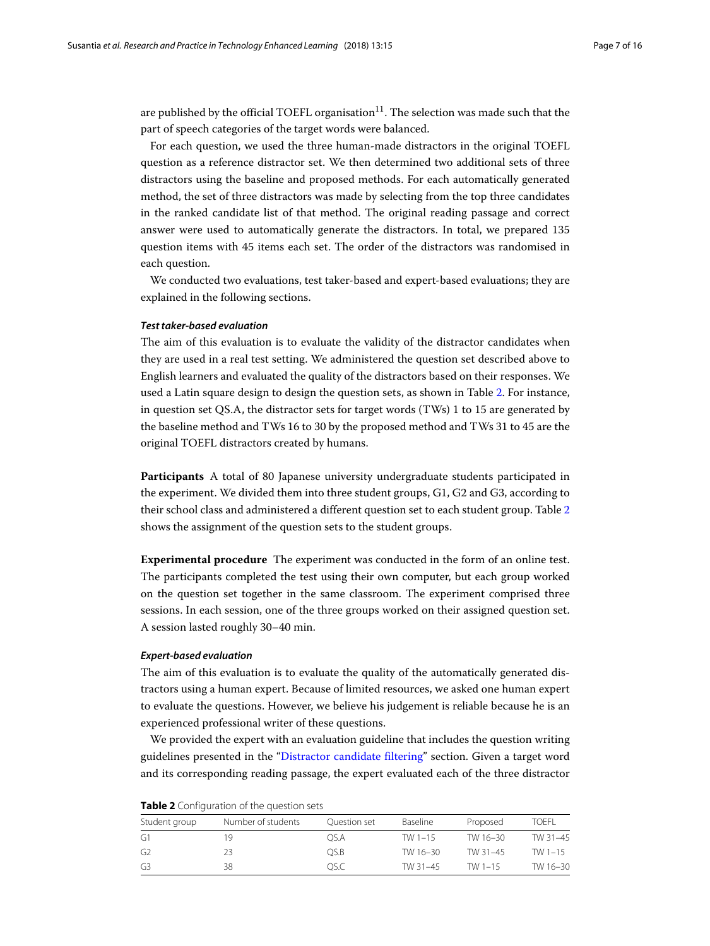are published by the official TOEFL organisation $11$ . The selection was made such that the part of speech categories of the target words were balanced.

For each question, we used the three human-made distractors in the original TOEFL question as a reference distractor set. We then determined two additional sets of three distractors using the baseline and proposed methods. For each automatically generated method, the set of three distractors was made by selecting from the top three candidates in the ranked candidate list of that method. The original reading passage and correct answer were used to automatically generate the distractors. In total, we prepared 135 question items with 45 items each set. The order of the distractors was randomised in each question.

We conducted two evaluations, test taker-based and expert-based evaluations; they are explained in the following sections.

## *Test taker-based evaluation*

The aim of this evaluation is to evaluate the validity of the distractor candidates when they are used in a real test setting. We administered the question set described above to English learners and evaluated the quality of the distractors based on their responses. We used a Latin square design to design the question sets, as shown in Table [2.](#page-6-0) For instance, in question set QS.A, the distractor sets for target words (TWs) 1 to 15 are generated by the baseline method and TWs 16 to 30 by the proposed method and TWs 31 to 45 are the original TOEFL distractors created by humans.

**Participants** A total of 80 Japanese university undergraduate students participated in the experiment. We divided them into three student groups, G1, G2 and G3, according to their school class and administered a different question set to each student group. Table [2](#page-6-0) shows the assignment of the question sets to the student groups.

**Experimental procedure** The experiment was conducted in the form of an online test. The participants completed the test using their own computer, but each group worked on the question set together in the same classroom. The experiment comprised three sessions. In each session, one of the three groups worked on their assigned question set. A session lasted roughly 30–40 min.

#### <span id="page-6-1"></span>*Expert-based evaluation*

The aim of this evaluation is to evaluate the quality of the automatically generated distractors using a human expert. Because of limited resources, we asked one human expert to evaluate the questions. However, we believe his judgement is reliable because he is an experienced professional writer of these questions.

We provided the expert with an evaluation guideline that includes the question writing guidelines presented in the ["Distractor candidate filtering"](#page-3-1) section. Given a target word and its corresponding reading passage, the expert evaluated each of the three distractor

| Student group | Number of students | Ouestion set | Baseline    | Proposed  | TOFFI     |
|---------------|--------------------|--------------|-------------|-----------|-----------|
| G1            | 1 Q                | OS.A         | TW $1 - 15$ | TW 16-30  | TW 31-45  |
| G2            | 23                 | OS.B         | TW 16-30    | TW 31-45  | TW $1-15$ |
| G3            | 38                 | OS.C         | TW 31-45    | TW $1-15$ | TW 16-30  |

<span id="page-6-0"></span>**Table 2** Configuration of the question sets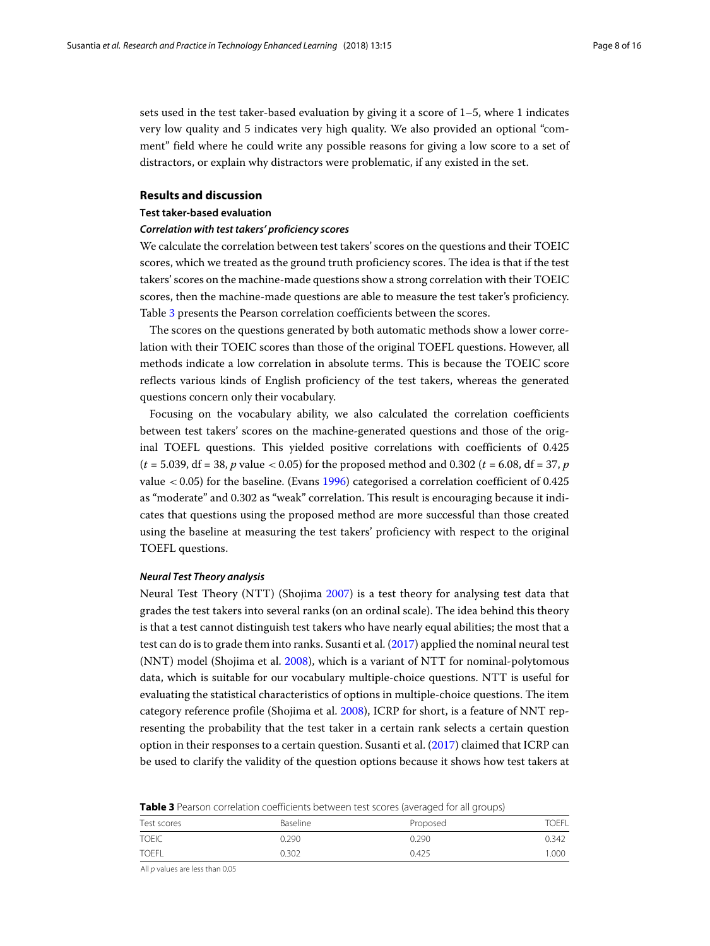sets used in the test taker-based evaluation by giving it a score of 1–5, where 1 indicates very low quality and 5 indicates very high quality. We also provided an optional "comment" field where he could write any possible reasons for giving a low score to a set of distractors, or explain why distractors were problematic, if any existed in the set.

### <span id="page-7-0"></span>**Results and discussion**

### <span id="page-7-2"></span>**Test taker-based evaluation**

### *Correlation with test takers' proficiency scores*

We calculate the correlation between test takers' scores on the questions and their TOEIC scores, which we treated as the ground truth proficiency scores. The idea is that if the test takers' scores on the machine-made questions show a strong correlation with their TOEIC scores, then the machine-made questions are able to measure the test taker's proficiency. Table [3](#page-7-1) presents the Pearson correlation coefficients between the scores.

The scores on the questions generated by both automatic methods show a lower correlation with their TOEIC scores than those of the original TOEFL questions. However, all methods indicate a low correlation in absolute terms. This is because the TOEIC score reflects various kinds of English proficiency of the test takers, whereas the generated questions concern only their vocabulary.

Focusing on the vocabulary ability, we also calculated the correlation coefficients between test takers' scores on the machine-generated questions and those of the original TOEFL questions. This yielded positive correlations with coefficients of 0.425  $(t = 5.039, df = 38, p$  value < 0.05) for the proposed method and 0.302  $(t = 6.08, df = 37, p$ value < 0.05) for the baseline. (Evans [1996\)](#page-15-25) categorised a correlation coefficient of 0.425 as "moderate" and 0.302 as "weak" correlation. This result is encouraging because it indicates that questions using the proposed method are more successful than those created using the baseline at measuring the test takers' proficiency with respect to the original TOEFL questions.

# *Neural Test Theory analysis*

Neural Test Theory (NTT) (Shojima [2007\)](#page-15-26) is a test theory for analysing test data that grades the test takers into several ranks (on an ordinal scale). The idea behind this theory is that a test cannot distinguish test takers who have nearly equal abilities; the most that a test can do is to grade them into ranks. Susanti et al. [\(2017\)](#page-15-21) applied the nominal neural test (NNT) model (Shojima et al. [2008\)](#page-15-20), which is a variant of NTT for nominal-polytomous data, which is suitable for our vocabulary multiple-choice questions. NTT is useful for evaluating the statistical characteristics of options in multiple-choice questions. The item category reference profile (Shojima et al. [2008\)](#page-15-20), ICRP for short, is a feature of NNT representing the probability that the test taker in a certain rank selects a certain question option in their responses to a certain question. Susanti et al. [\(2017\)](#page-15-21) claimed that ICRP can be used to clarify the validity of the question options because it shows how test takers at

<span id="page-7-1"></span>**Table 3** Pearson correlation coefficients between test scores (averaged for all groups)

|              | . .<br>$\sim$   |          |              |  |
|--------------|-----------------|----------|--------------|--|
| Test scores  | <b>Baseline</b> | Proposed | <b>TOEFL</b> |  |
| <b>TOEIC</b> | 0.290           | 0.290    | 0.342        |  |
| <b>TOEFL</b> | 0.302           | 0.425    | 1.000        |  |
|              |                 |          |              |  |

All p values are less than 0.05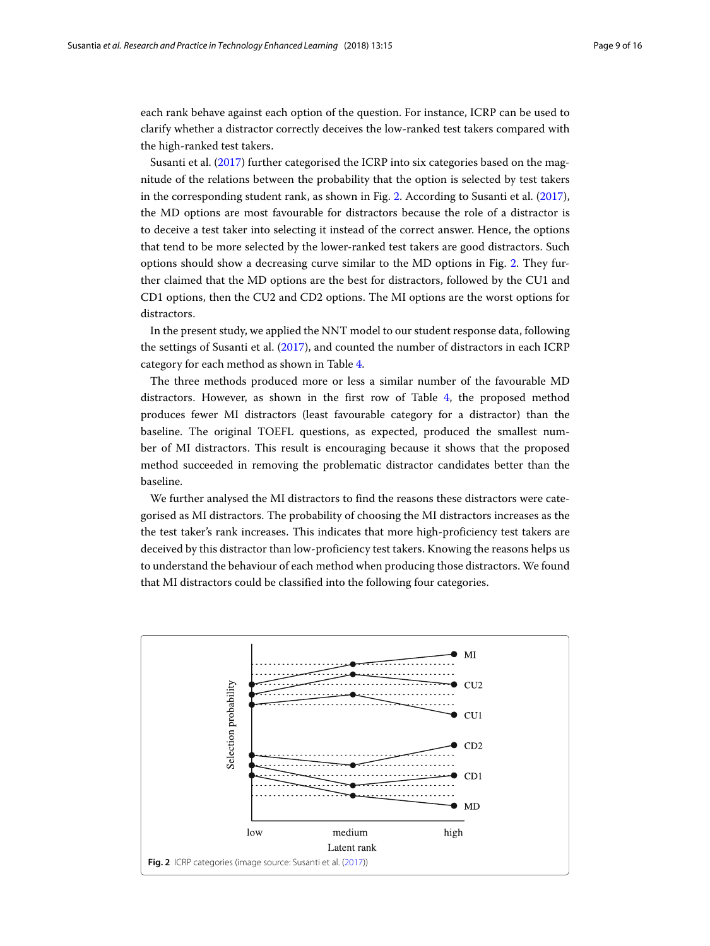each rank behave against each option of the question. For instance, ICRP can be used to clarify whether a distractor correctly deceives the low-ranked test takers compared with the high-ranked test takers.

Susanti et al. [\(2017\)](#page-15-21) further categorised the ICRP into six categories based on the magnitude of the relations between the probability that the option is selected by test takers in the corresponding student rank, as shown in Fig. [2.](#page-8-0) According to Susanti et al. [\(2017\)](#page-15-21), the MD options are most favourable for distractors because the role of a distractor is to deceive a test taker into selecting it instead of the correct answer. Hence, the options that tend to be more selected by the lower-ranked test takers are good distractors. Such options should show a decreasing curve similar to the MD options in Fig. [2.](#page-8-0) They further claimed that the MD options are the best for distractors, followed by the CU1 and CD1 options, then the CU2 and CD2 options. The MI options are the worst options for distractors.

In the present study, we applied the NNT model to our student response data, following the settings of Susanti et al. [\(2017\)](#page-15-21), and counted the number of distractors in each ICRP category for each method as shown in Table [4.](#page-9-0)

The three methods produced more or less a similar number of the favourable MD distractors. However, as shown in the first row of Table [4,](#page-9-0) the proposed method produces fewer MI distractors (least favourable category for a distractor) than the baseline. The original TOEFL questions, as expected, produced the smallest number of MI distractors. This result is encouraging because it shows that the proposed method succeeded in removing the problematic distractor candidates better than the baseline.

We further analysed the MI distractors to find the reasons these distractors were categorised as MI distractors. The probability of choosing the MI distractors increases as the the test taker's rank increases. This indicates that more high-proficiency test takers are deceived by this distractor than low-proficiency test takers. Knowing the reasons helps us to understand the behaviour of each method when producing those distractors. We found that MI distractors could be classified into the following four categories.

<span id="page-8-0"></span>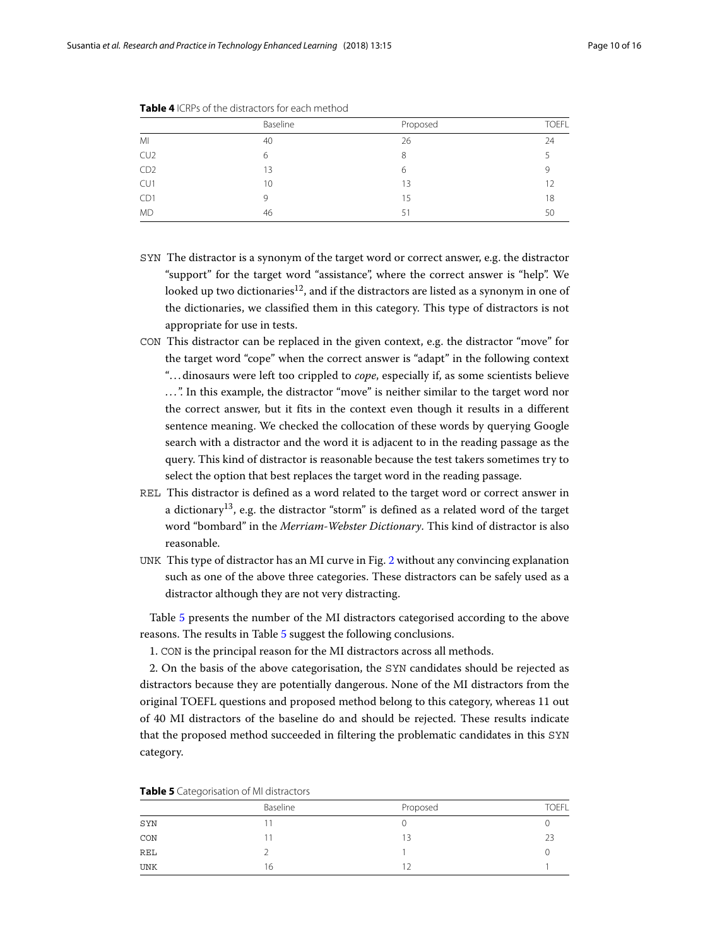|                 | Baseline | Proposed | <b>TOEFL</b> |
|-----------------|----------|----------|--------------|
| MI              | 40       | 26       | 24           |
| CU <sub>2</sub> | 6        | 8        |              |
| CD <sub>2</sub> | 13       | 6        | Q            |
| CU1             | 10       | 13       | 12           |
| CD1             | 9        | 15       | 18           |
| <b>MD</b>       | 46       | 51       | 50           |

<span id="page-9-0"></span>**Table 4** ICRPs of the distractors for each method

- SYN The distractor is a synonym of the target word or correct answer, e.g. the distractor "support" for the target word "assistance", where the correct answer is "help". We looked up two dictionaries<sup>12</sup>, and if the distractors are listed as a synonym in one of the dictionaries, we classified them in this category. This type of distractors is not appropriate for use in tests.
- CON This distractor can be replaced in the given context, e.g. the distractor "move" for the target word "cope" when the correct answer is "adapt" in the following context "...dinosaurs were left too crippled to *cope*, especially if, as some scientists believe ...". In this example, the distractor "move" is neither similar to the target word nor the correct answer, but it fits in the context even though it results in a different sentence meaning. We checked the collocation of these words by querying Google search with a distractor and the word it is adjacent to in the reading passage as the query. This kind of distractor is reasonable because the test takers sometimes try to select the option that best replaces the target word in the reading passage.
- REL This distractor is defined as a word related to the target word or correct answer in a dictionary<sup>13</sup>, e.g. the distractor "storm" is defined as a related word of the target word "bombard" in the *Merriam-Webster Dictionary*. This kind of distractor is also reasonable.
- UNK This type of distractor has an MI curve in Fig. [2](#page-8-0) without any convincing explanation such as one of the above three categories. These distractors can be safely used as a distractor although they are not very distracting.

Table [5](#page-9-1) presents the number of the MI distractors categorised according to the above reasons. The results in Table [5](#page-9-1) suggest the following conclusions.

1. CON is the principal reason for the MI distractors across all methods.

2. On the basis of the above categorisation, the SYN candidates should be rejected as distractors because they are potentially dangerous. None of the MI distractors from the original TOEFL questions and proposed method belong to this category, whereas 11 out of 40 MI distractors of the baseline do and should be rejected. These results indicate that the proposed method succeeded in filtering the problematic candidates in this SYN category.

|            | Baseline | Proposed | <b>TOEFL</b> |
|------------|----------|----------|--------------|
| SYN        |          |          |              |
| CON        |          | 13       | つろ           |
| REL        |          |          |              |
| <b>UNK</b> | 16       |          |              |

<span id="page-9-1"></span>**Table 5** Categorisation of MI distractors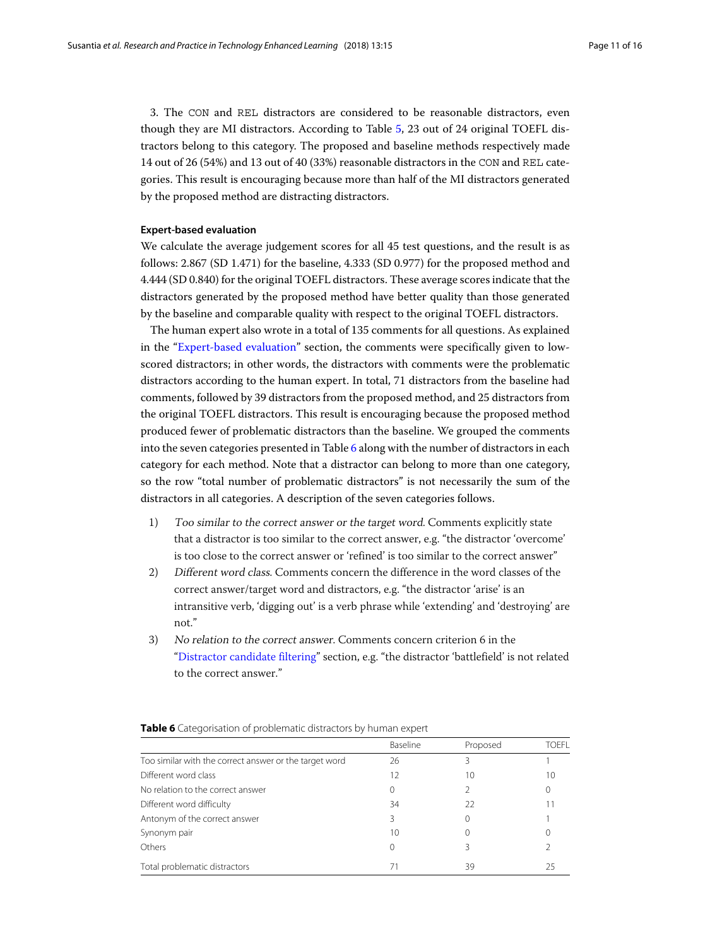3. The CON and REL distractors are considered to be reasonable distractors, even though they are MI distractors. According to Table [5,](#page-9-1) 23 out of 24 original TOEFL distractors belong to this category. The proposed and baseline methods respectively made 14 out of 26 (54%) and 13 out of 40 (33%) reasonable distractors in the CON and REL categories. This result is encouraging because more than half of the MI distractors generated by the proposed method are distracting distractors.

#### **Expert-based evaluation**

We calculate the average judgement scores for all 45 test questions, and the result is as follows: 2.867 (SD 1.471) for the baseline, 4.333 (SD 0.977) for the proposed method and 4.444 (SD 0.840) for the original TOEFL distractors. These average scores indicate that the distractors generated by the proposed method have better quality than those generated by the baseline and comparable quality with respect to the original TOEFL distractors.

The human expert also wrote in a total of 135 comments for all questions. As explained in the ["Expert-based evaluation"](#page-6-1) section, the comments were specifically given to lowscored distractors; in other words, the distractors with comments were the problematic distractors according to the human expert. In total, 71 distractors from the baseline had comments, followed by 39 distractors from the proposed method, and 25 distractors from the original TOEFL distractors. This result is encouraging because the proposed method produced fewer of problematic distractors than the baseline. We grouped the comments into the seven categories presented in Table [6](#page-10-0) along with the number of distractors in each category for each method. Note that a distractor can belong to more than one category, so the row "total number of problematic distractors" is not necessarily the sum of the distractors in all categories. A description of the seven categories follows.

- 1) Too similar to the correct answer or the target word. Comments explicitly state that a distractor is too similar to the correct answer, e.g. "the distractor 'overcome' is too close to the correct answer or 'refined' is too similar to the correct answer"
- 2) Different word class. Comments concern the difference in the word classes of the correct answer/target word and distractors, e.g. "the distractor 'arise' is an intransitive verb, 'digging out' is a verb phrase while 'extending' and 'destroying' are not."
- 3) No relation to the correct answer. Comments concern criterion 6 in the ["Distractor candidate filtering"](#page-4-0) section, e.g. "the distractor 'battlefield' is not related to the correct answer."

<span id="page-10-0"></span>

|                                                        | Baseline | Proposed | TOFFI |
|--------------------------------------------------------|----------|----------|-------|
| Too similar with the correct answer or the target word | 26       |          |       |
| Different word class                                   | 12       | 10       | 10    |
| No relation to the correct answer                      | 0        |          |       |
| Different word difficulty                              | 34       | 22       |       |
| Antonym of the correct answer                          | ζ        |          |       |
| Synonym pair                                           | 10       |          |       |
| Others                                                 |          |          |       |
| Total problematic distractors                          | 71       | 39       |       |

#### **Table 6** Categorisation of problematic distractors by human expert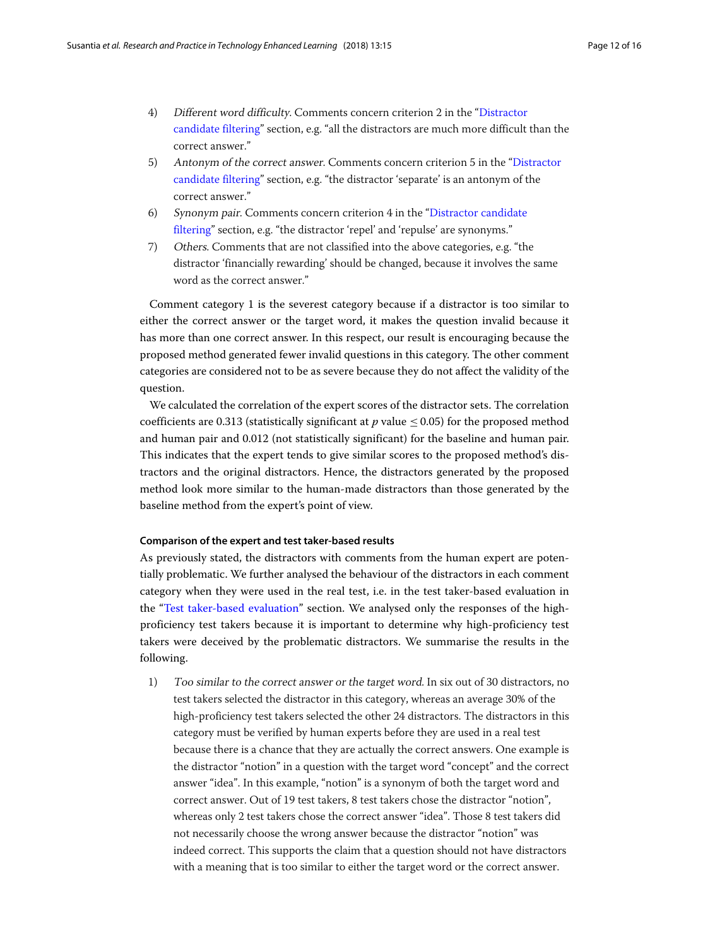- 4) Different word difficulty. Comments concern criterion 2 in the "Distractor candidate filtering" section, e.g. "all the distractors are much more difficult than the correct answer."
- 5) Antonym of the correct answer. Comments concern criterion 5 in the "Distractor candidate filtering" section, e.g. "the distractor 'separate' is an antonym of the correct answer."
- 6) Synonym pair. Comments concern criterion 4 in the "Distractor candidate filtering" section, e.g. "the distractor 'repel' and 'repulse' are synonyms."
- 7) Others. Comments that are not classified into the above categories, e.g. "the distractor 'financially rewarding' should be changed, because it involves the same word as the correct answer."

Comment category 1 is the severest category because if a distractor is too similar to either the correct answer or the target word, it makes the question invalid because it has more than one correct answer. In this respect, our result is encouraging because the proposed method generated fewer invalid questions in this category. The other comment categories are considered not to be as severe because they do not affect the validity of the question.

We calculated the correlation of the expert scores of the distractor sets. The correlation coefficients are 0.313 (statistically significant at  $p$  value  $\leq$  0.05) for the proposed method and human pair and 0.012 (not statistically significant) for the baseline and human pair. This indicates that the expert tends to give similar scores to the proposed method's distractors and the original distractors. Hence, the distractors generated by the proposed method look more similar to the human-made distractors than those generated by the baseline method from the expert's point of view.

### **Comparison of the expert and test taker-based results**

As previously stated, the distractors with comments from the human expert are potentially problematic. We further analysed the behaviour of the distractors in each comment category when they were used in the real test, i.e. in the test taker-based evaluation in the ["Test taker-based evaluation"](#page-7-2) section. We analysed only the responses of the highproficiency test takers because it is important to determine why high-proficiency test takers were deceived by the problematic distractors. We summarise the results in the following.

1) Too similar to the correct answer or the target word. In six out of 30 distractors, no test takers selected the distractor in this category, whereas an average 30% of the high-proficiency test takers selected the other 24 distractors. The distractors in this category must be verified by human experts before they are used in a real test because there is a chance that they are actually the correct answers. One example is the distractor "notion" in a question with the target word "concept" and the correct answer "idea". In this example, "notion" is a synonym of both the target word and correct answer. Out of 19 test takers, 8 test takers chose the distractor "notion", whereas only 2 test takers chose the correct answer "idea". Those 8 test takers did not necessarily choose the wrong answer because the distractor "notion" was indeed correct. This supports the claim that a question should not have distractors with a meaning that is too similar to either the target word or the correct answer.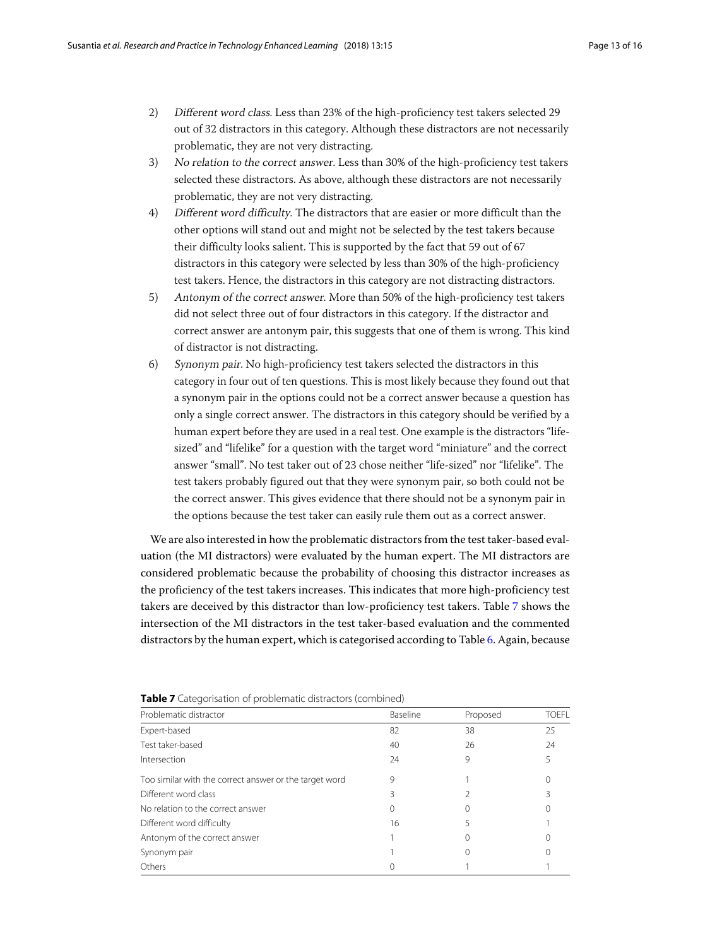- 2) Different word class. Less than 23% of the high-proficiency test takers selected 29 out of 32 distractors in this category. Although these distractors are not necessarily problematic, they are not very distracting.
- 3) No relation to the correct answer. Less than 30% of the high-proficiency test takers selected these distractors. As above, although these distractors are not necessarily problematic, they are not very distracting.
- 4) Different word difficulty. The distractors that are easier or more difficult than the other options will stand out and might not be selected by the test takers because their difficulty looks salient. This is supported by the fact that 59 out of 67 distractors in this category were selected by less than 30% of the high-proficiency test takers. Hence, the distractors in this category are not distracting distractors.
- 5) Antonym of the correct answer. More than 50% of the high-proficiency test takers did not select three out of four distractors in this category. If the distractor and correct answer are antonym pair, this suggests that one of them is wrong. This kind of distractor is not distracting.
- 6) Synonym pair. No high-proficiency test takers selected the distractors in this category in four out of ten questions. This is most likely because they found out that a synonym pair in the options could not be a correct answer because a question has only a single correct answer. The distractors in this category should be verified by a human expert before they are used in a real test. One example is the distractors "lifesized" and "lifelike" for a question with the target word "miniature" and the correct answer "small". No test taker out of 23 chose neither "life-sized" nor "lifelike". The test takers probably figured out that they were synonym pair, so both could not be the correct answer. This gives evidence that there should not be a synonym pair in the options because the test taker can easily rule them out as a correct answer.

We are also interested in how the problematic distractors from the test taker-based evaluation (the MI distractors) were evaluated by the human expert. The MI distractors are considered problematic because the probability of choosing this distractor increases as the proficiency of the test takers increases. This indicates that more high-proficiency test takers are deceived by this distractor than low-proficiency test takers. Table [7](#page-12-0) shows the intersection of the MI distractors in the test taker-based evaluation and the commented distractors by the human expert, which is categorised according to Table [6.](#page-10-0) Again, because

<span id="page-12-0"></span>

| . www.are categorisation or proprettiate also actors (common cap |          |              |  |  |  |
|------------------------------------------------------------------|----------|--------------|--|--|--|
| Baseline                                                         | Proposed | <b>TOEFL</b> |  |  |  |
| 82                                                               | 38       | 25           |  |  |  |
| 40                                                               | 26       | 24           |  |  |  |
| 24                                                               | 9        | 5            |  |  |  |
| 9                                                                |          |              |  |  |  |
|                                                                  |          |              |  |  |  |
|                                                                  |          |              |  |  |  |
| 16                                                               |          |              |  |  |  |
|                                                                  |          |              |  |  |  |
|                                                                  |          |              |  |  |  |
|                                                                  |          |              |  |  |  |
|                                                                  |          |              |  |  |  |

**Table 7** Categorisation of problematic distractors (combined)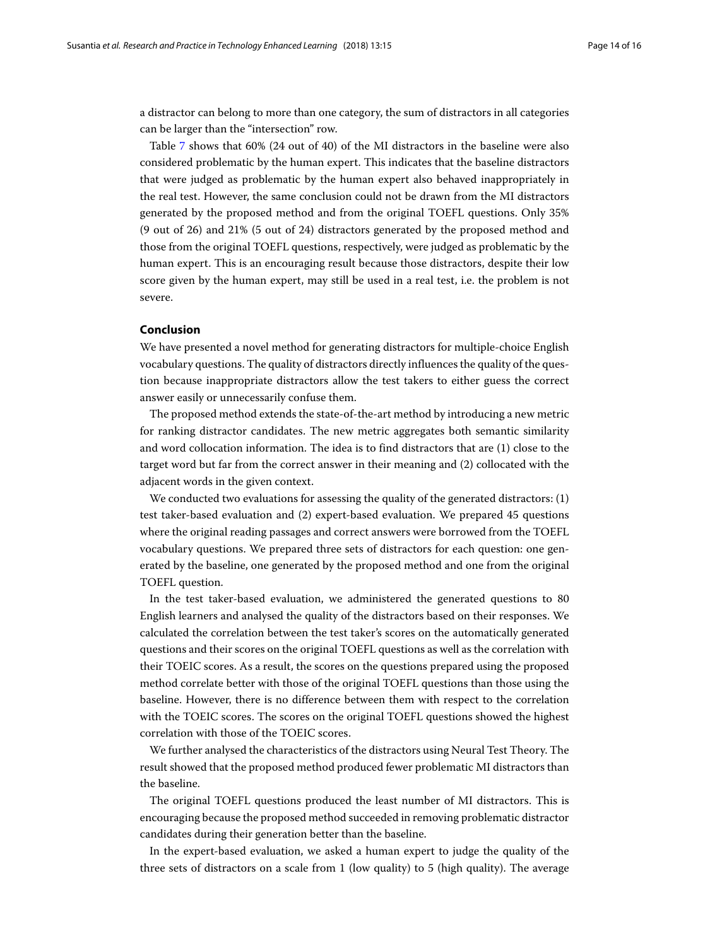a distractor can belong to more than one category, the sum of distractors in all categories can be larger than the "intersection" row.

Table [7](#page-12-0) shows that 60% (24 out of 40) of the MI distractors in the baseline were also considered problematic by the human expert. This indicates that the baseline distractors that were judged as problematic by the human expert also behaved inappropriately in the real test. However, the same conclusion could not be drawn from the MI distractors generated by the proposed method and from the original TOEFL questions. Only 35% (9 out of 26) and 21% (5 out of 24) distractors generated by the proposed method and those from the original TOEFL questions, respectively, were judged as problematic by the human expert. This is an encouraging result because those distractors, despite their low score given by the human expert, may still be used in a real test, i.e. the problem is not severe.

#### <span id="page-13-0"></span>**Conclusion**

We have presented a novel method for generating distractors for multiple-choice English vocabulary questions. The quality of distractors directly influences the quality of the question because inappropriate distractors allow the test takers to either guess the correct answer easily or unnecessarily confuse them.

The proposed method extends the state-of-the-art method by introducing a new metric for ranking distractor candidates. The new metric aggregates both semantic similarity and word collocation information. The idea is to find distractors that are (1) close to the target word but far from the correct answer in their meaning and (2) collocated with the adjacent words in the given context.

We conducted two evaluations for assessing the quality of the generated distractors: (1) test taker-based evaluation and (2) expert-based evaluation. We prepared 45 questions where the original reading passages and correct answers were borrowed from the TOEFL vocabulary questions. We prepared three sets of distractors for each question: one generated by the baseline, one generated by the proposed method and one from the original TOEFL question.

In the test taker-based evaluation, we administered the generated questions to 80 English learners and analysed the quality of the distractors based on their responses. We calculated the correlation between the test taker's scores on the automatically generated questions and their scores on the original TOEFL questions as well as the correlation with their TOEIC scores. As a result, the scores on the questions prepared using the proposed method correlate better with those of the original TOEFL questions than those using the baseline. However, there is no difference between them with respect to the correlation with the TOEIC scores. The scores on the original TOEFL questions showed the highest correlation with those of the TOEIC scores.

We further analysed the characteristics of the distractors using Neural Test Theory. The result showed that the proposed method produced fewer problematic MI distractors than the baseline.

The original TOEFL questions produced the least number of MI distractors. This is encouraging because the proposed method succeeded in removing problematic distractor candidates during their generation better than the baseline.

In the expert-based evaluation, we asked a human expert to judge the quality of the three sets of distractors on a scale from 1 (low quality) to 5 (high quality). The average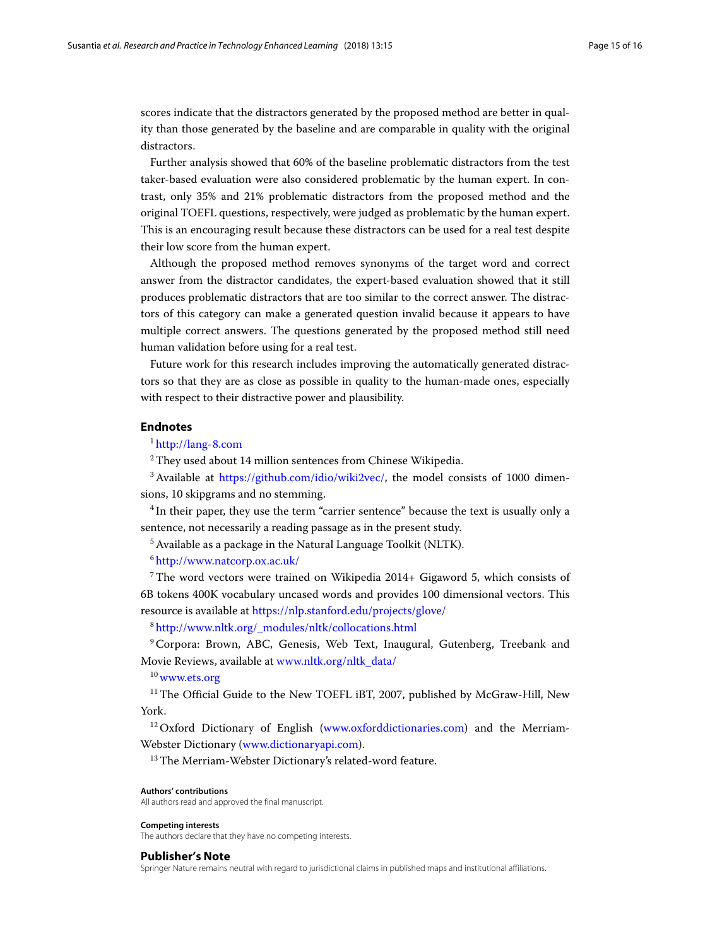scores indicate that the distractors generated by the proposed method are better in quality than those generated by the baseline and are comparable in quality with the original distractors.

Further analysis showed that 60% of the baseline problematic distractors from the test taker-based evaluation were also considered problematic by the human expert. In contrast, only 35% and 21% problematic distractors from the proposed method and the original TOEFL questions, respectively, were judged as problematic by the human expert. This is an encouraging result because these distractors can be used for a real test despite their low score from the human expert.

Although the proposed method removes synonyms of the target word and correct answer from the distractor candidates, the expert-based evaluation showed that it still produces problematic distractors that are too similar to the correct answer. The distractors of this category can make a generated question invalid because it appears to have multiple correct answers. The questions generated by the proposed method still need human validation before using for a real test.

Future work for this research includes improving the automatically generated distractors so that they are as close as possible in quality to the human-made ones, especially with respect to their distractive power and plausibility.

### **Endnotes**

<sup>1</sup> <http://lang-8.com>

<sup>2</sup> They used about 14 million sentences from Chinese Wikipedia.

<sup>3</sup> Available at [https://github.com/idio/wiki2vec/,](https://github.com/idio/wiki2vec/) the model consists of 1000 dimensions, 10 skipgrams and no stemming.

<sup>4</sup> In their paper, they use the term "carrier sentence" because the text is usually only a sentence, not necessarily a reading passage as in the present study.

<sup>5</sup> Available as a package in the Natural Language Toolkit (NLTK).

<sup>6</sup> <http://www.natcorp.ox.ac.uk/>

 $7$ The word vectors were trained on Wikipedia 2014+ Gigaword 5, which consists of 6B tokens 400K vocabulary uncased words and provides 100 dimensional vectors. This resource is available at <https://nlp.stanford.edu/projects/glove/>

<sup>8</sup> [http://www.nltk.org/\\_modules/nltk/collocations.html](http://www.nltk.org/_modules/nltk/collocations.html)

<sup>9</sup> Corpora: Brown, ABC, Genesis, Web Text, Inaugural, Gutenberg, Treebank and Movie Reviews, available at [www.nltk.org/nltk\\_data/](www.nltk.org/nltk_data/)

<sup>10</sup> <www.ets.org>

 $11$ <sup>I1</sup> The Official Guide to the New TOEFL iBT, 2007, published by McGraw-Hill, New York.

<sup>12</sup> Oxford Dictionary of English [\(www.oxforddictionaries.com\)](www.oxforddictionaries.com) and the Merriam-Webster Dictionary [\(www.dictionaryapi.com\)](www.dictionaryapi.com).

<sup>13</sup>The Merriam-Webster Dictionary's related-word feature.

#### **Authors' contributions**

All authors read and approved the final manuscript.

# **Competing interests**

The authors declare that they have no competing interests.

#### **Publisher's Note**

Springer Nature remains neutral with regard to jurisdictional claims in published maps and institutional affiliations.